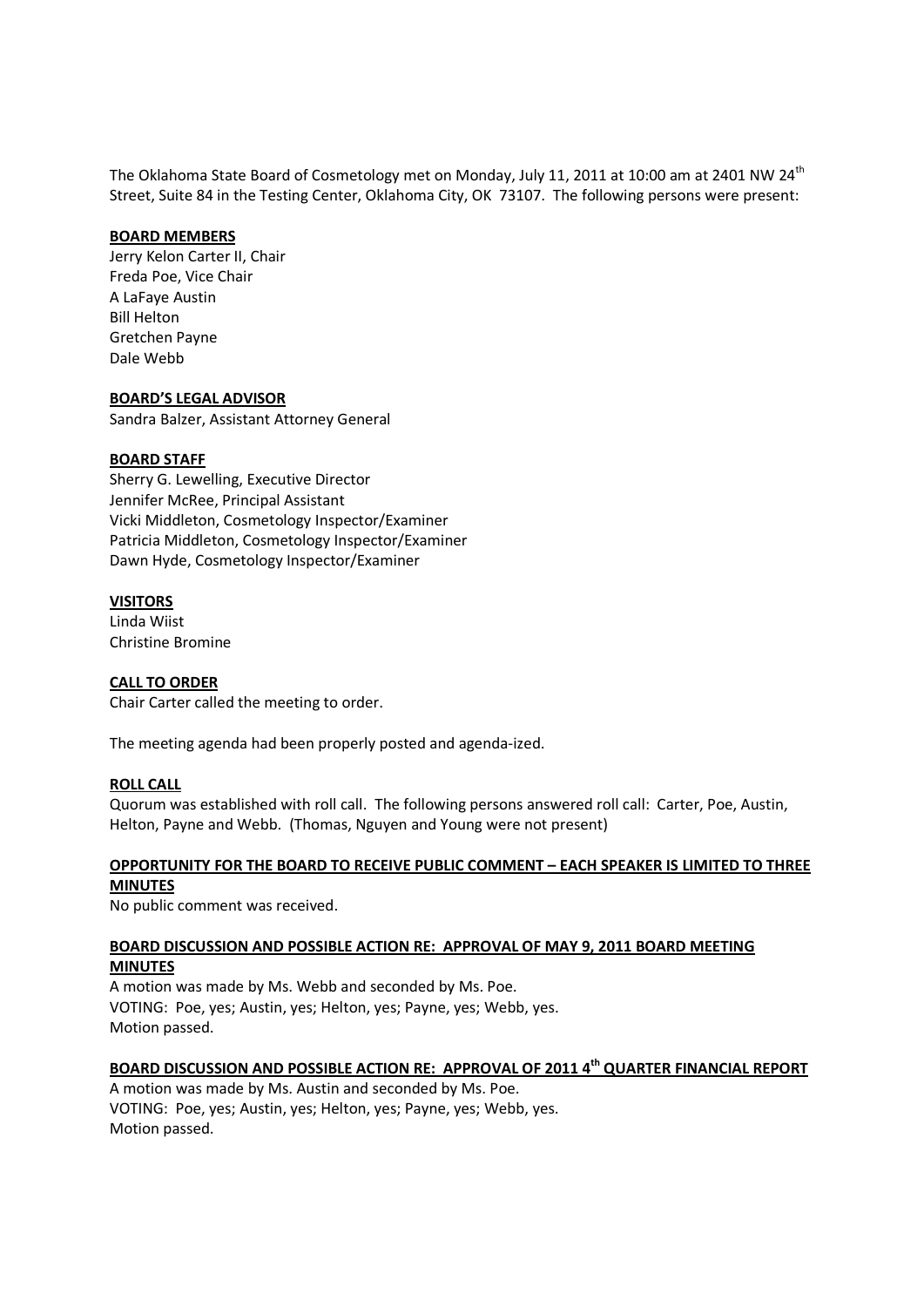The Oklahoma State Board of Cosmetology met on Monday, July 11, 2011 at 10:00 am at 2401 NW 24<sup>th</sup> Street, Suite 84 in the Testing Center, Oklahoma City, OK 73107. The following persons were present:

#### **BOARD MEMBERS**

Jerry Kelon Carter II, Chair Freda Poe, Vice Chair A LaFaye Austin Bill Helton Gretchen Payne Dale Webb

#### **BOARD'S LEGAL ADVISOR**

Sandra Balzer, Assistant Attorney General

#### **BOARD STAFF**

Sherry G. Lewelling, Executive Director Jennifer McRee, Principal Assistant Vicki Middleton, Cosmetology Inspector/Examiner Patricia Middleton, Cosmetology Inspector/Examiner Dawn Hyde, Cosmetology Inspector/Examiner

#### **VISITORS**

Linda Wiist Christine Bromine

### **CALL TO ORDER**

Chair Carter called the meeting to order.

The meeting agenda had been properly posted and agenda-ized.

#### **ROLL CALL**

Quorum was established with roll call. The following persons answered roll call: Carter, Poe, Austin, Helton, Payne and Webb. (Thomas, Nguyen and Young were not present)

#### **OPPORTUNITY FOR THE BOARD TO RECEIVE PUBLIC COMMENT – EACH SPEAKER IS LIMITED TO THREE MINUTES**

No public comment was received.

### **BOARD DISCUSSION AND POSSIBLE ACTION RE: APPROVAL OF MAY 9, 2011 BOARD MEETING MINUTES**

A motion was made by Ms. Webb and seconded by Ms. Poe. VOTING: Poe, yes; Austin, yes; Helton, yes; Payne, yes; Webb, yes. Motion passed.

# **BOARD DISCUSSION AND POSSIBLE ACTION RE: APPROVAL OF 2011 4th QUARTER FINANCIAL REPORT**

A motion was made by Ms. Austin and seconded by Ms. Poe. VOTING: Poe, yes; Austin, yes; Helton, yes; Payne, yes; Webb, yes. Motion passed.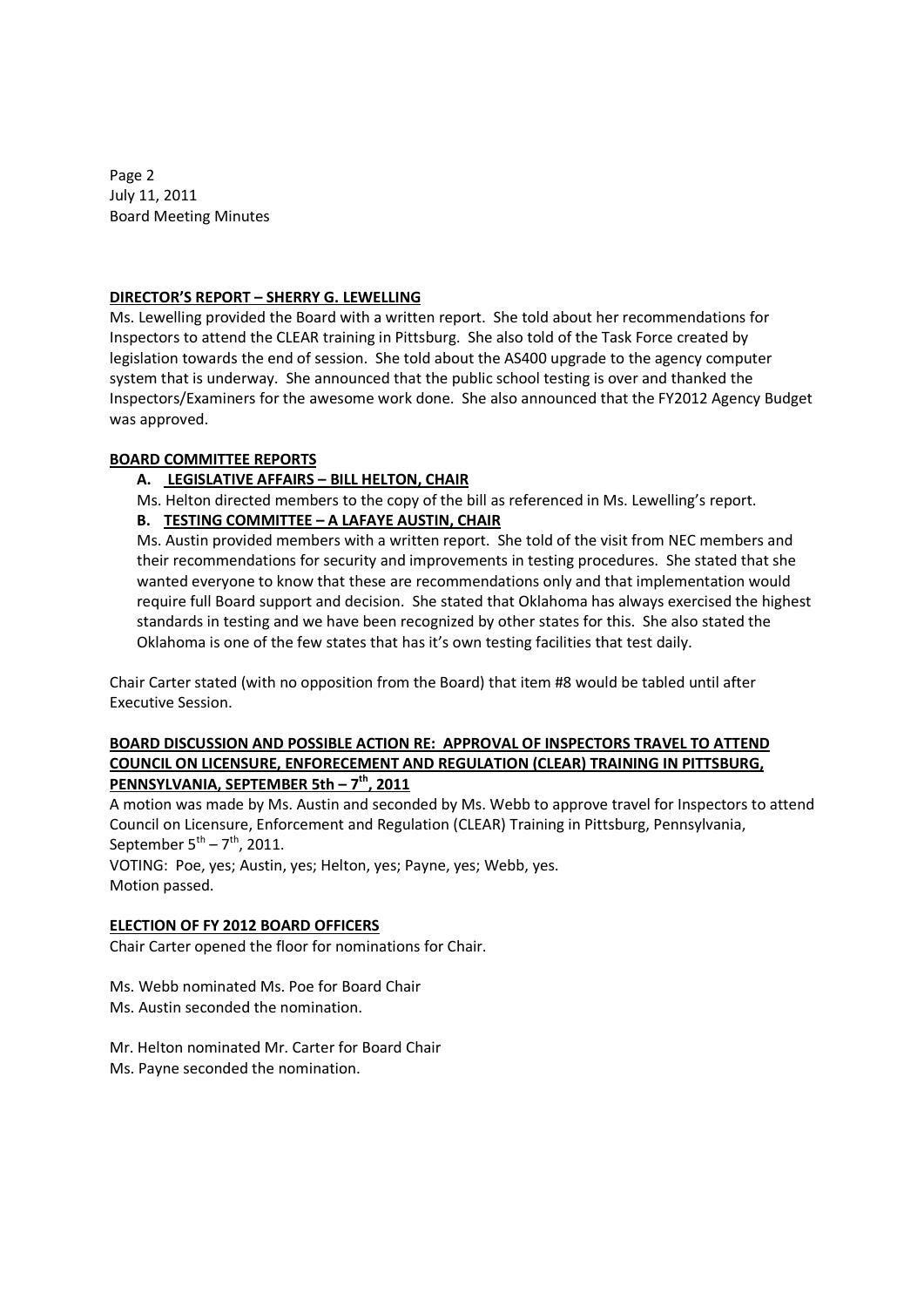Page 2 July 11, 2011 Board Meeting Minutes

### **DIRECTOR'S REPORT – SHERRY G. LEWELLING**

Ms. Lewelling provided the Board with a written report. She told about her recommendations for Inspectors to attend the CLEAR training in Pittsburg. She also told of the Task Force created by legislation towards the end of session. She told about the AS400 upgrade to the agency computer system that is underway. She announced that the public school testing is over and thanked the Inspectors/Examiners for the awesome work done. She also announced that the FY2012 Agency Budget was approved.

# **BOARD COMMITTEE REPORTS**

# **A. LEGISLATIVE AFFAIRS – BILL HELTON, CHAIR**

Ms. Helton directed members to the copy of the bill as referenced in Ms. Lewelling's report.

# **B. TESTING COMMITTEE – A LAFAYE AUSTIN, CHAIR**

Ms. Austin provided members with a written report. She told of the visit from NEC members and their recommendations for security and improvements in testing procedures. She stated that she wanted everyone to know that these are recommendations only and that implementation would require full Board support and decision. She stated that Oklahoma has always exercised the highest standards in testing and we have been recognized by other states for this. She also stated the Oklahoma is one of the few states that has it's own testing facilities that test daily.

Chair Carter stated (with no opposition from the Board) that item #8 would be tabled until after Executive Session.

## **BOARD DISCUSSION AND POSSIBLE ACTION RE: APPROVAL OF INSPECTORS TRAVEL TO ATTEND COUNCIL ON LICENSURE, ENFORECEMENT AND REGULATION (CLEAR) TRAINING IN PITTSBURG, PENNSYLVANIA, SEPTEMBER 5th – 7th, 2011**

A motion was made by Ms. Austin and seconded by Ms. Webb to approve travel for Inspectors to attend Council on Licensure, Enforcement and Regulation (CLEAR) Training in Pittsburg, Pennsylvania, September  $5^{th}$  –  $7^{th}$ , 2011.

VOTING: Poe, yes; Austin, yes; Helton, yes; Payne, yes; Webb, yes. Motion passed.

# **ELECTION OF FY 2012 BOARD OFFICERS**

Chair Carter opened the floor for nominations for Chair.

Ms. Webb nominated Ms. Poe for Board Chair Ms. Austin seconded the nomination.

Mr. Helton nominated Mr. Carter for Board Chair Ms. Payne seconded the nomination.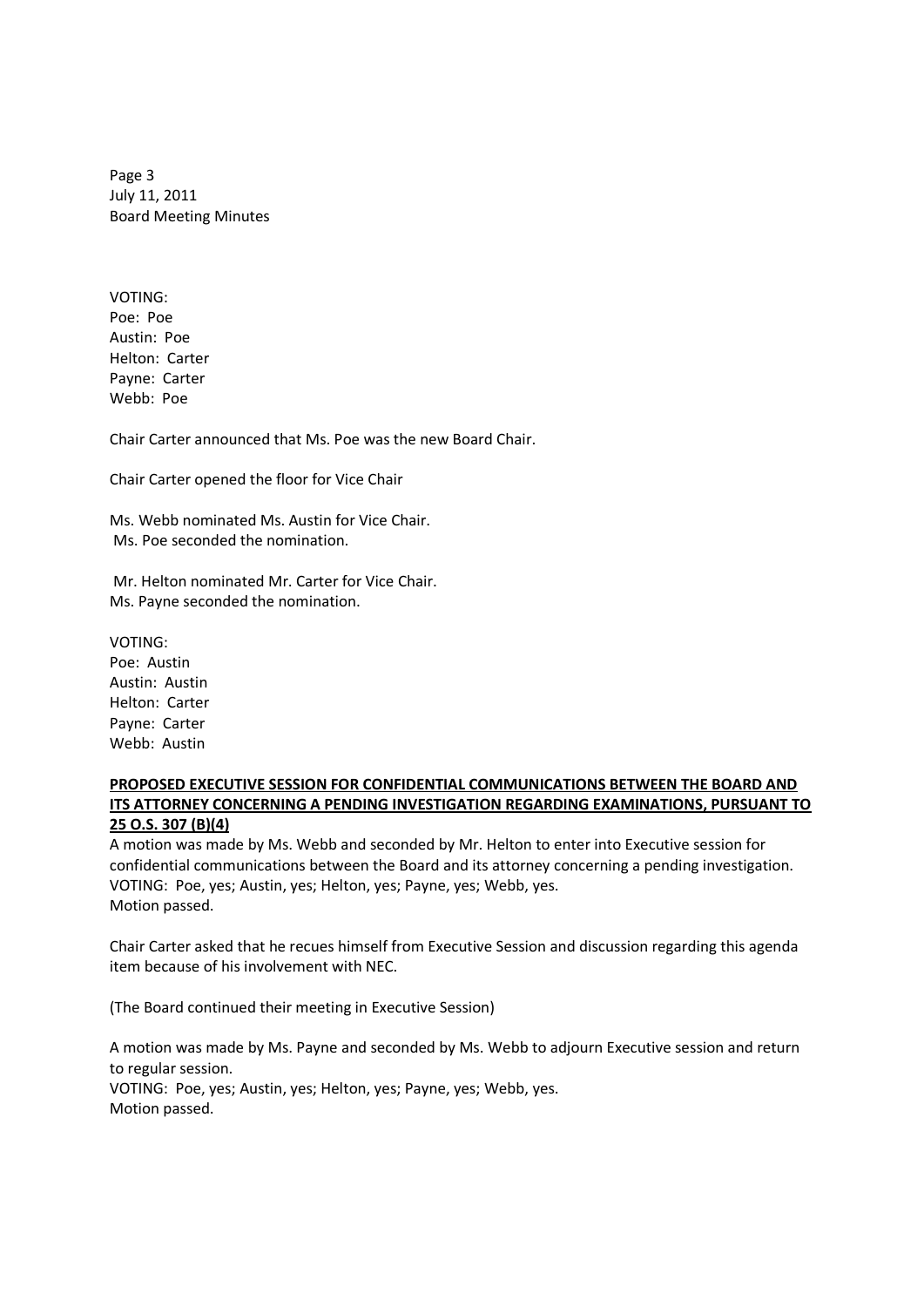Page 3 July 11, 2011 Board Meeting Minutes

VOTING: Poe: Poe Austin: Poe Helton: Carter Payne: Carter Webb: Poe

Chair Carter announced that Ms. Poe was the new Board Chair.

Chair Carter opened the floor for Vice Chair

Ms. Webb nominated Ms. Austin for Vice Chair. Ms. Poe seconded the nomination.

Mr. Helton nominated Mr. Carter for Vice Chair. Ms. Payne seconded the nomination.

VOTING:

Poe: Austin Austin: Austin Helton: Carter Payne: Carter Webb: Austin

### **PROPOSED EXECUTIVE SESSION FOR CONFIDENTIAL COMMUNICATIONS BETWEEN THE BOARD AND ITS ATTORNEY CONCERNING A PENDING INVESTIGATION REGARDING EXAMINATIONS, PURSUANT TO 25 O.S. 307 (B)(4)**

A motion was made by Ms. Webb and seconded by Mr. Helton to enter into Executive session for confidential communications between the Board and its attorney concerning a pending investigation. VOTING: Poe, yes; Austin, yes; Helton, yes; Payne, yes; Webb, yes. Motion passed.

Chair Carter asked that he recues himself from Executive Session and discussion regarding this agenda item because of his involvement with NEC.

(The Board continued their meeting in Executive Session)

A motion was made by Ms. Payne and seconded by Ms. Webb to adjourn Executive session and return to regular session. VOTING: Poe, yes; Austin, yes; Helton, yes; Payne, yes; Webb, yes. Motion passed.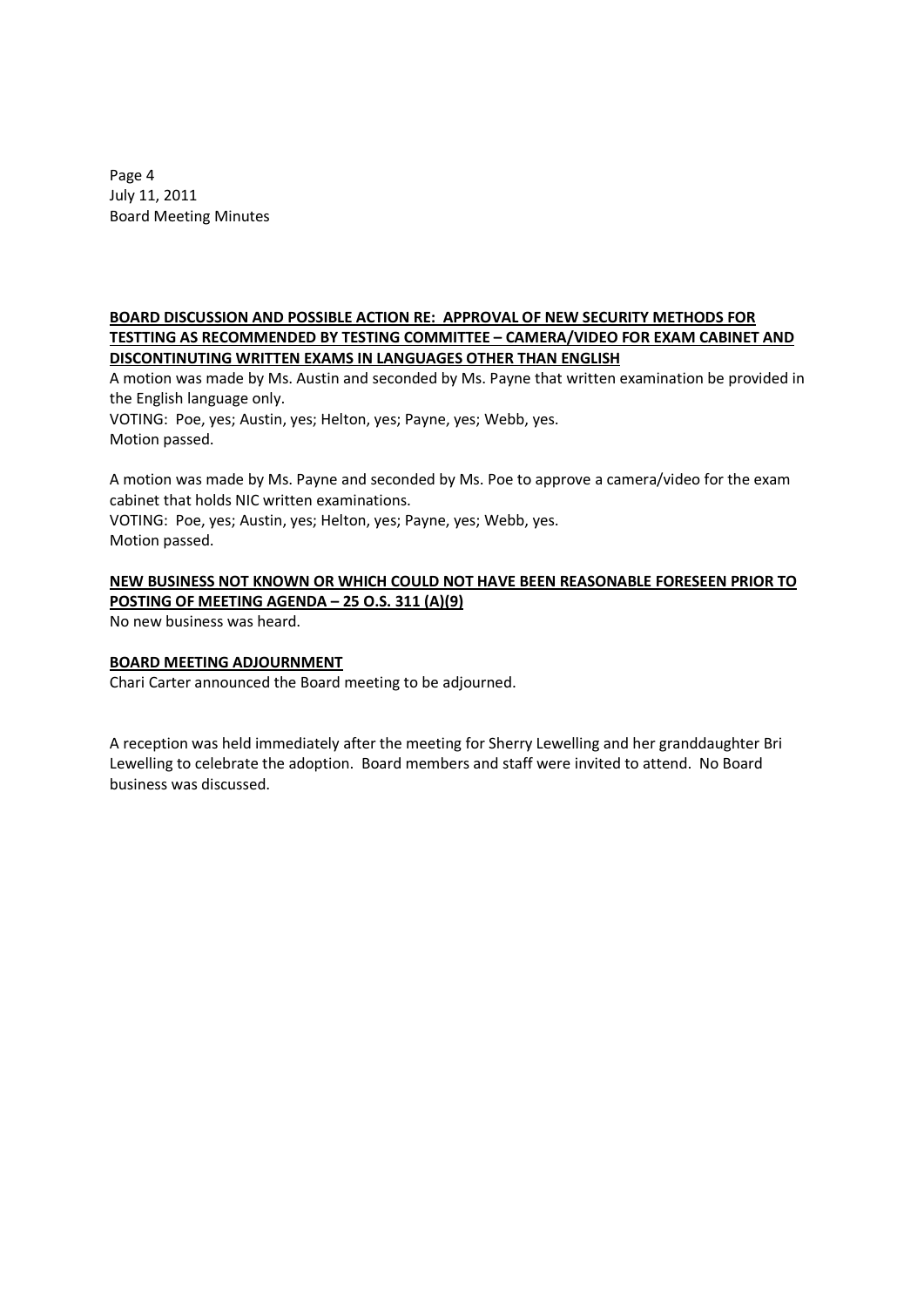Page 4 July 11, 2011 Board Meeting Minutes

### **BOARD DISCUSSION AND POSSIBLE ACTION RE: APPROVAL OF NEW SECURITY METHODS FOR TESTTING AS RECOMMENDED BY TESTING COMMITTEE – CAMERA/VIDEO FOR EXAM CABINET AND DISCONTINUTING WRITTEN EXAMS IN LANGUAGES OTHER THAN ENGLISH**

A motion was made by Ms. Austin and seconded by Ms. Payne that written examination be provided in the English language only.

VOTING: Poe, yes; Austin, yes; Helton, yes; Payne, yes; Webb, yes. Motion passed.

A motion was made by Ms. Payne and seconded by Ms. Poe to approve a camera/video for the exam cabinet that holds NIC written examinations.

VOTING: Poe, yes; Austin, yes; Helton, yes; Payne, yes; Webb, yes. Motion passed.

## **NEW BUSINESS NOT KNOWN OR WHICH COULD NOT HAVE BEEN REASONABLE FORESEEN PRIOR TO POSTING OF MEETING AGENDA – 25 O.S. 311 (A)(9)**

No new business was heard.

## **BOARD MEETING ADJOURNMENT**

Chari Carter announced the Board meeting to be adjourned.

A reception was held immediately after the meeting for Sherry Lewelling and her granddaughter Bri Lewelling to celebrate the adoption. Board members and staff were invited to attend. No Board business was discussed.